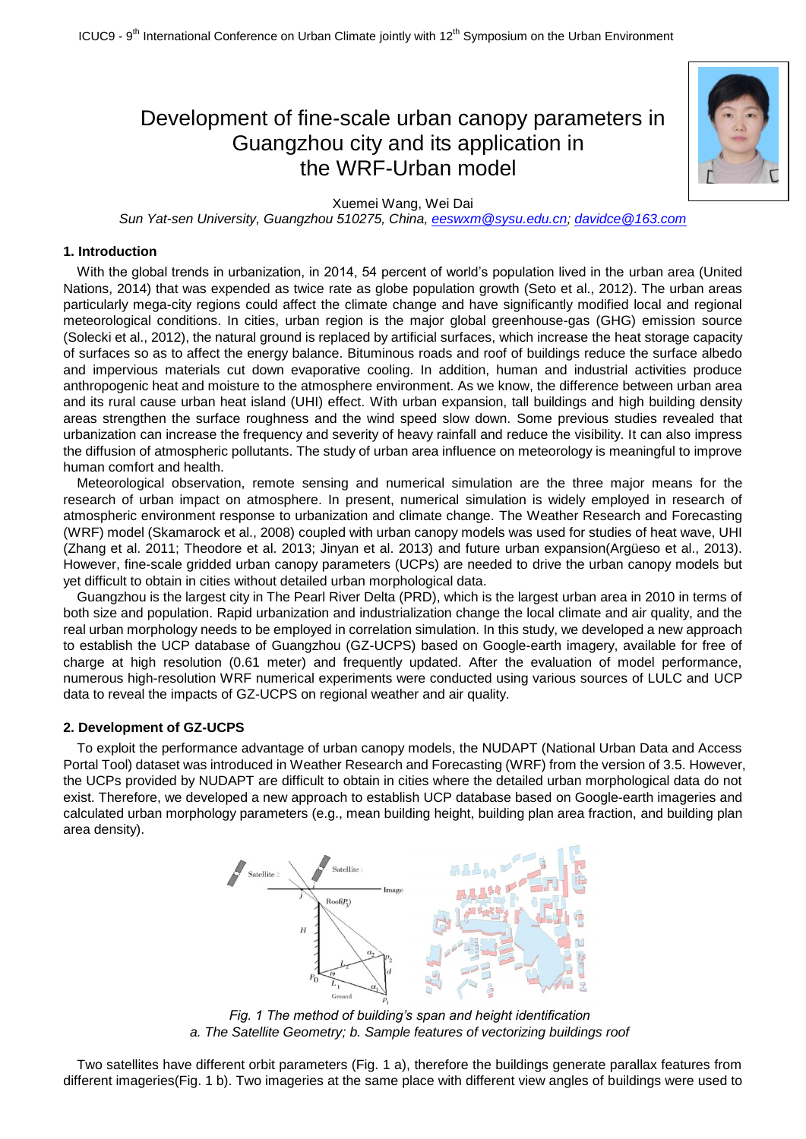# Development of fine-scale urban canopy parameters in Guangzhou city and its application in the WRF-Urban model



Xuemei Wang, Wei Dai

*Sun Yat-sen University, Guangzhou 510275, China, [eeswxm@sysu.edu.cn;](mailto:eeswxm@sysu.edu.cn) [davidce@163.com](mailto:davidce@163.com)*

## **1. Introduction**

With the global trends in urbanization, in 2014, 54 percent of world's population lived in the urban area (United Nations, 2014) that was expended as twice rate as globe population growth (Seto et al., 2012). The urban areas particularly mega-city regions could affect the climate change and have significantly modified local and regional meteorological conditions. In cities, urban region is the major global greenhouse-gas (GHG) emission source (Solecki et al., 2012), the natural ground is replaced by artificial surfaces, which increase the heat storage capacity of surfaces so as to affect the energy balance. Bituminous roads and roof of buildings reduce the surface albedo and impervious materials cut down evaporative cooling. In addition, human and industrial activities produce anthropogenic heat and moisture to the atmosphere environment. As we know, the difference between urban area and its rural cause urban heat island (UHI) effect. With urban expansion, tall buildings and high building density areas strengthen the surface roughness and the wind speed slow down. Some previous studies revealed that urbanization can increase the frequency and severity of heavy rainfall and reduce the visibility. It can also impress the diffusion of atmospheric pollutants. The study of urban area influence on meteorology is meaningful to improve human comfort and health.

Meteorological observation, remote sensing and numerical simulation are the three major means for the research of urban impact on atmosphere. In present, numerical simulation is widely employed in research of atmospheric environment response to urbanization and climate change. The Weather Research and Forecasting (WRF) model (Skamarock et al., 2008) coupled with urban canopy models was used for studies of heat wave, UHI (Zhang et al. 2011; Theodore et al. 2013; Jinyan et al. 2013) and future urban expansion(Argüeso et al., 2013). However, fine-scale gridded urban canopy parameters (UCPs) are needed to drive the urban canopy models but yet difficult to obtain in cities without detailed urban morphological data.

Guangzhou is the largest city in The Pearl River Delta (PRD), which is the largest urban area in 2010 in terms of both size and population. Rapid urbanization and industrialization change the local climate and air quality, and the real urban morphology needs to be employed in correlation simulation. In this study, we developed a new approach to establish the UCP database of Guangzhou (GZ-UCPS) based on Google-earth imagery, available for free of charge at high resolution (0.61 meter) and frequently updated. After the evaluation of model performance, numerous high-resolution WRF numerical experiments were conducted using various sources of LULC and UCP data to reveal the impacts of GZ-UCPS on regional weather and air quality.

#### **2. Development of GZ-UCPS**

To exploit the performance advantage of urban canopy models, the NUDAPT (National Urban Data and Access Portal Tool) dataset was introduced in Weather Research and Forecasting (WRF) from the version of 3.5. However, the UCPs provided by NUDAPT are difficult to obtain in cities where the detailed urban morphological data do not exist. Therefore, we developed a new approach to establish UCP database based on Google-earth imageries and calculated urban morphology parameters (e.g., mean building height, building plan area fraction, and building plan area density).



*Fig. 1 The method of building's span and height identification a. The Satellite Geometry; b. Sample features of vectorizing buildings roof*

Two satellites have different orbit parameters (Fig. 1 a), therefore the buildings generate parallax features from different imageries(Fig. 1 b). Two imageries at the same place with different view angles of buildings were used to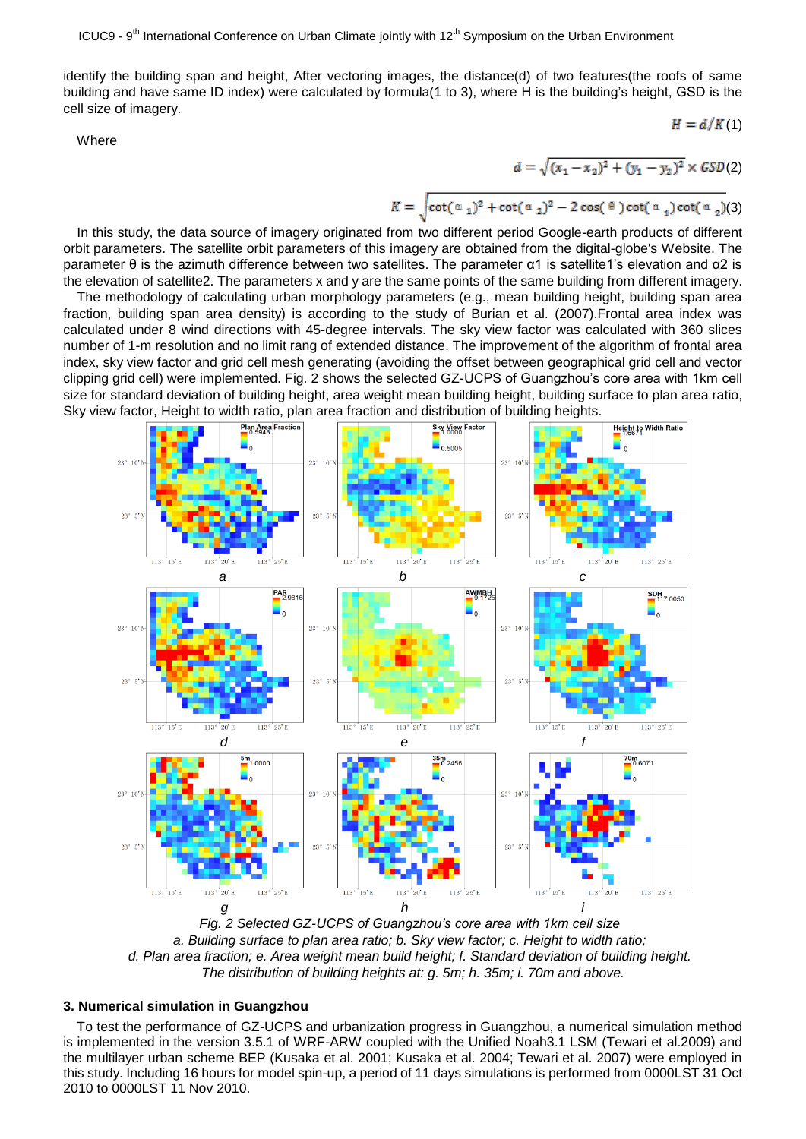identify the building span and height, After vectoring images, the distance(d) of two features(the roofs of same building and have same ID index) were calculated by formula(1 to 3), where H is the building's height, GSD is the cell size of imagery.

Where

$$
= \sqrt{(x_1 - x_2)^2 + (y_1 - y_2)^2} \times GSD(2)
$$

 $H = d/K(1)$ 

$$
K = \sqrt{\cot(\alpha_1)^2 + \cot(\alpha_2)^2 - 2\cos(\theta)\cot(\alpha_1)\cot(\alpha_2)}
$$
(3)

d

In this study, the data source of imagery originated from two different period Google-earth products of different orbit parameters. The satellite orbit parameters of this imagery are obtained from the digital-globe's Website. The parameter θ is the azimuth difference between two satellites. The parameter α1 is satellite1's elevation and α2 is the elevation of satellite2. The parameters x and y are the same points of the same building from different imagery.

The methodology of calculating urban morphology parameters (e.g., mean building height, building span area fraction, building span area density) is according to the study of Burian et al. (2007).Frontal area index was calculated under 8 wind directions with 45-degree intervals. The sky view factor was calculated with 360 slices number of 1-m resolution and no limit rang of extended distance. The improvement of the algorithm of frontal area index, sky view factor and grid cell mesh generating (avoiding the offset between geographical grid cell and vector clipping grid cell) were implemented. Fig. 2 shows the selected GZ-UCPS of Guangzhou's core area with 1km cell size for standard deviation of building height, area weight mean building height, building surface to plan area ratio, Sky view factor, Height to width ratio, plan area fraction and distribution of building heights.



*Fig. 2 Selected GZ-UCPS of Guangzhou's core area with 1km cell size a. Building surface to plan area ratio; b. Sky view factor; c. Height to width ratio; d. Plan area fraction; e. Area weight mean build height; f. Standard deviation of building height. The distribution of building heights at: g. 5m; h. 35m; i. 70m and above.*

## **3. Numerical simulation in Guangzhou**

To test the performance of GZ-UCPS and urbanization progress in Guangzhou, a numerical simulation method is implemented in the version 3.5.1 of WRF-ARW coupled with the Unified Noah3.1 LSM (Tewari et al.2009) and the multilayer urban scheme BEP (Kusaka et al. 2001; Kusaka et al. 2004; Tewari et al. 2007) were employed in this study. Including 16 hours for model spin-up, a period of 11 days simulations is performed from 0000LST 31 Oct 2010 to 0000LST 11 Nov 2010.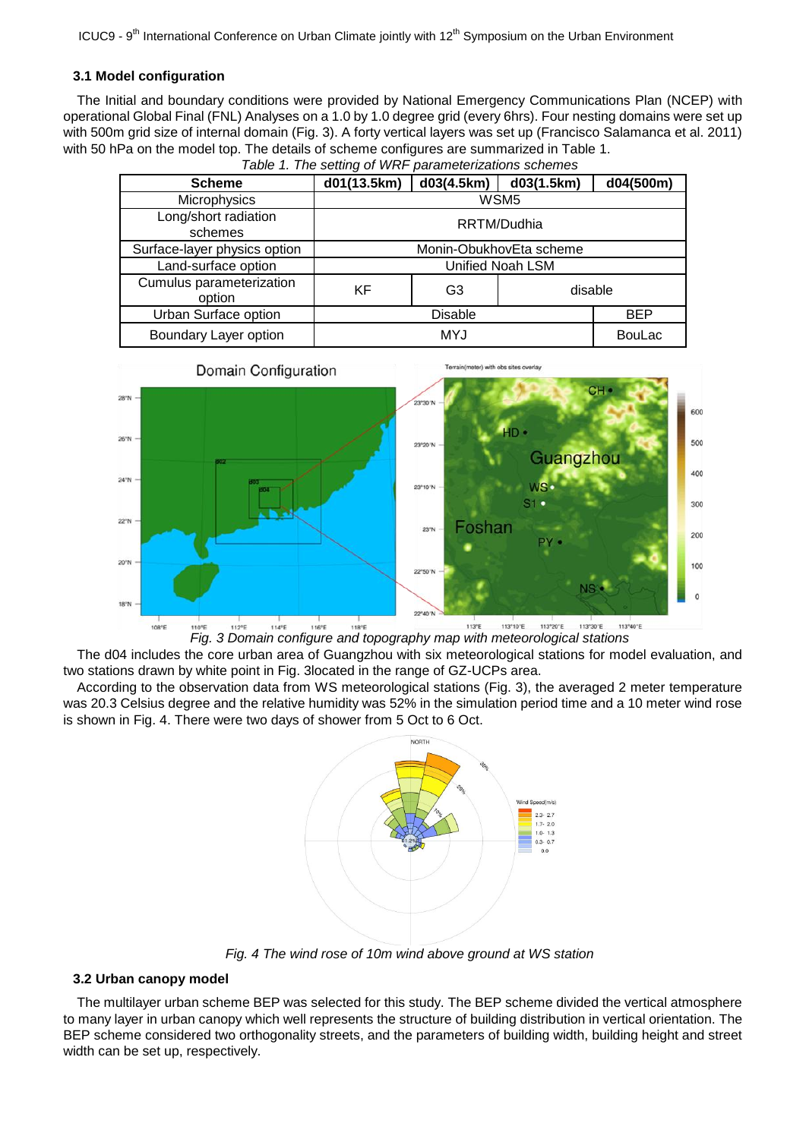## **3.1 Model configuration**

The Initial and boundary conditions were provided by National Emergency Communications Plan (NCEP) with operational Global Final (FNL) Analyses on a 1.0 by 1.0 degree grid (every 6hrs). Four nesting domains were set up with 500m grid size of internal domain (Fig. 3). A forty vertical layers was set up (Francisco Salamanca et al. 2011) with 50 hPa on the model top. The details of scheme configures are summarized in Table 1.

| <b>Scheme</b>                      | d01(13.5km)             | d03(4.5km) | d03(1.5km) | d04(500m)     |
|------------------------------------|-------------------------|------------|------------|---------------|
| Microphysics                       | WSM5                    |            |            |               |
| Long/short radiation<br>schemes    | RRTM/Dudhia             |            |            |               |
| Surface-layer physics option       | Monin-ObukhovEta scheme |            |            |               |
| Land-surface option                | Unified Noah LSM        |            |            |               |
| Cumulus parameterization<br>option | <b>KF</b>               | G3         | disable    |               |
| Urban Surface option               | <b>Disable</b>          |            |            | <b>BEP</b>    |
| Boundary Layer option              | MYJ                     |            |            | <b>BouLac</b> |





*Fig. 3 Domain configure and topography map with meteorological stations*

The d04 includes the core urban area of Guangzhou with six meteorological stations for model evaluation, and two stations drawn by white point in Fig. 3located in the range of GZ-UCPs area.

According to the observation data from WS meteorological stations (Fig. 3), the averaged 2 meter temperature was 20.3 Celsius degree and the relative humidity was 52% in the simulation period time and a 10 meter wind rose is shown in Fig. 4. There were two days of shower from 5 Oct to 6 Oct.



*Fig. 4 The wind rose of 10m wind above ground at WS station*

## **3.2 Urban canopy model**

The multilayer urban scheme BEP was selected for this study. The BEP scheme divided the vertical atmosphere to many layer in urban canopy which well represents the structure of building distribution in vertical orientation. The BEP scheme considered two orthogonality streets, and the parameters of building width, building height and street width can be set up, respectively.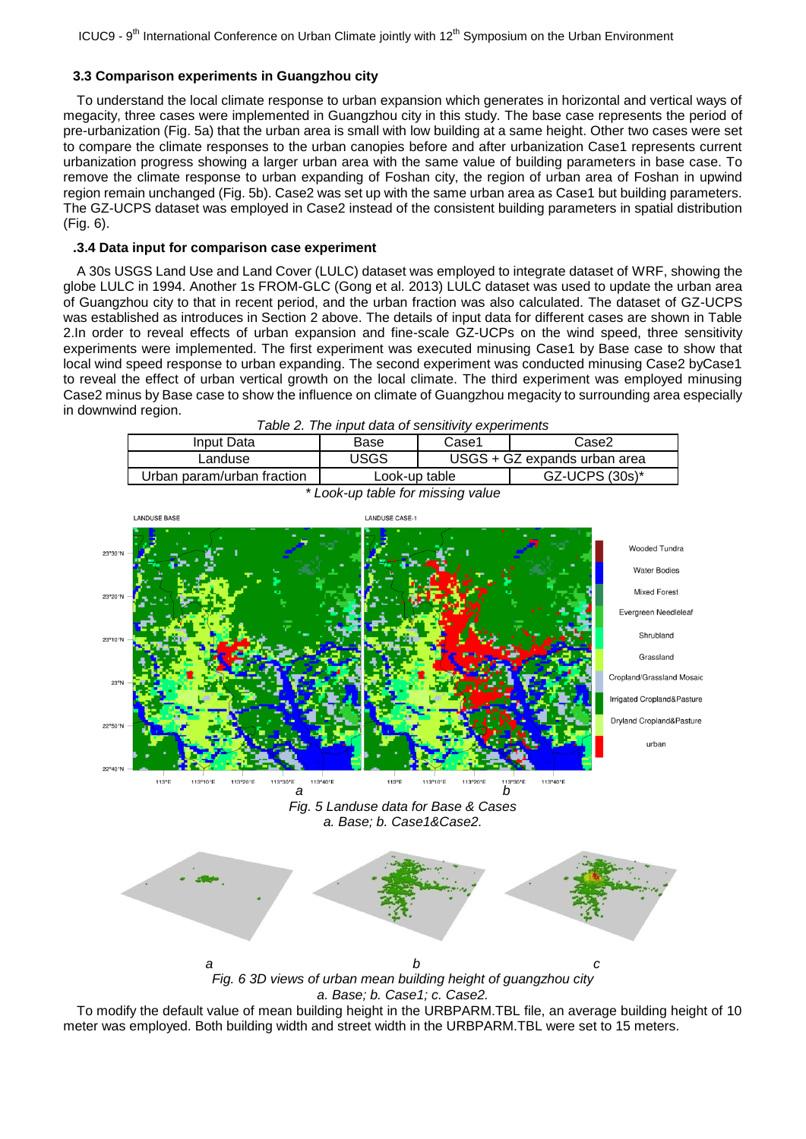## **3.3 Comparison experiments in Guangzhou city**

To understand the local climate response to urban expansion which generates in horizontal and vertical ways of megacity, three cases were implemented in Guangzhou city in this study. The base case represents the period of pre-urbanization (Fig. 5a) that the urban area is small with low building at a same height. Other two cases were set to compare the climate responses to the urban canopies before and after urbanization Case1 represents current urbanization progress showing a larger urban area with the same value of building parameters in base case. To remove the climate response to urban expanding of Foshan city, the region of urban area of Foshan in upwind region remain unchanged (Fig. 5b). Case2 was set up with the same urban area as Case1 but building parameters. The GZ-UCPS dataset was employed in Case2 instead of the consistent building parameters in spatial distribution (Fig. 6).

## **.3.4 Data input for comparison case experiment**

A 30s USGS Land Use and Land Cover (LULC) dataset was employed to integrate dataset of WRF, showing the globe LULC in 1994. Another 1s FROM-GLC (Gong et al. 2013) LULC dataset was used to update the urban area of Guangzhou city to that in recent period, and the urban fraction was also calculated. The dataset of GZ-UCPS was established as introduces in Section 2 above. The details of input data for different cases are shown in Table 2.In order to reveal effects of urban expansion and fine-scale GZ-UCPs on the wind speed, three sensitivity experiments were implemented. The first experiment was executed minusing Case1 by Base case to show that local wind speed response to urban expanding. The second experiment was conducted minusing Case2 byCase1 to reveal the effect of urban vertical growth on the local climate. The third experiment was employed minusing Case2 minus by Base case to show the influence on climate of Guangzhou megacity to surrounding area especially in downwind region.



To modify the default value of mean building height in the URBPARM.TBL file, an average building height of 10 meter was employed. Both building width and street width in the URBPARM.TBL were set to 15 meters.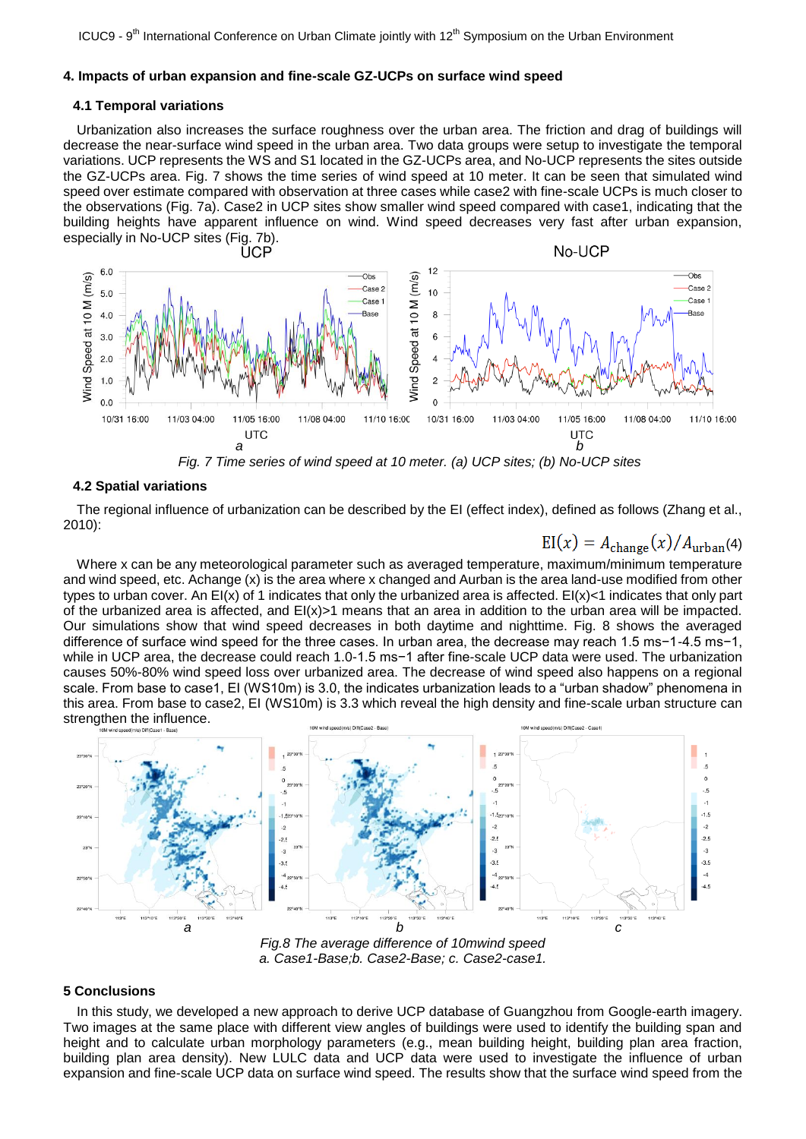#### **4. Impacts of urban expansion and fine-scale GZ-UCPs on surface wind speed**

#### **4.1 Temporal variations**

Urbanization also increases the surface roughness over the urban area. The friction and drag of buildings will decrease the near-surface wind speed in the urban area. Two data groups were setup to investigate the temporal variations. UCP represents the WS and S1 located in the GZ-UCPs area, and No-UCP represents the sites outside the GZ-UCPs area. Fig. 7 shows the time series of wind speed at 10 meter. It can be seen that simulated wind speed over estimate compared with observation at three cases while case2 with fine-scale UCPs is much closer to the observations (Fig. 7a). Case2 in UCP sites show smaller wind speed compared with case1, indicating that the building heights have apparent influence on wind. Wind speed decreases very fast after urban expansion, especially in No-UCP sites (Fig. 7b).



*Fig. 7 Time series of wind speed at 10 meter. (a) UCP sites; (b) No-UCP sites*

### **4.2 Spatial variations**

The regional influence of urbanization can be described by the EI (effect index), defined as follows (Zhang et al., 2010):

 $EI(x) = A_{change}(x)/A_{urban}(4)$ 

Where x can be any meteorological parameter such as averaged temperature, maximum/minimum temperature and wind speed, etc. Achange (x) is the area where x changed and Aurban is the area land-use modified from other types to urban cover. An EI(x) of 1 indicates that only the urbanized area is affected. EI(x)<1 indicates that only part of the urbanized area is affected, and  $E(x)$  means that an area in addition to the urban area will be impacted. Our simulations show that wind speed decreases in both daytime and nighttime. Fig. 8 shows the averaged difference of surface wind speed for the three cases. In urban area, the decrease may reach 1.5 ms−1-4.5 ms−1, while in UCP area, the decrease could reach 1.0-1.5 ms−1 after fine-scale UCP data were used. The urbanization causes 50%-80% wind speed loss over urbanized area. The decrease of wind speed also happens on a regional scale. From base to case1, EI (WS10m) is 3.0, the indicates urbanization leads to a "urban shadow" phenomena in this area. From base to case2, EI (WS10m) is 3.3 which reveal the high density and fine-scale urban structure can strengthen the influence.



*a. Case1-Base;b. Case2-Base; c. Case2-case1.*

#### **5 Conclusions**

In this study, we developed a new approach to derive UCP database of Guangzhou from Google-earth imagery. Two images at the same place with different view angles of buildings were used to identify the building span and height and to calculate urban morphology parameters (e.g., mean building height, building plan area fraction, building plan area density). New LULC data and UCP data were used to investigate the influence of urban expansion and fine-scale UCP data on surface wind speed. The results show that the surface wind speed from the